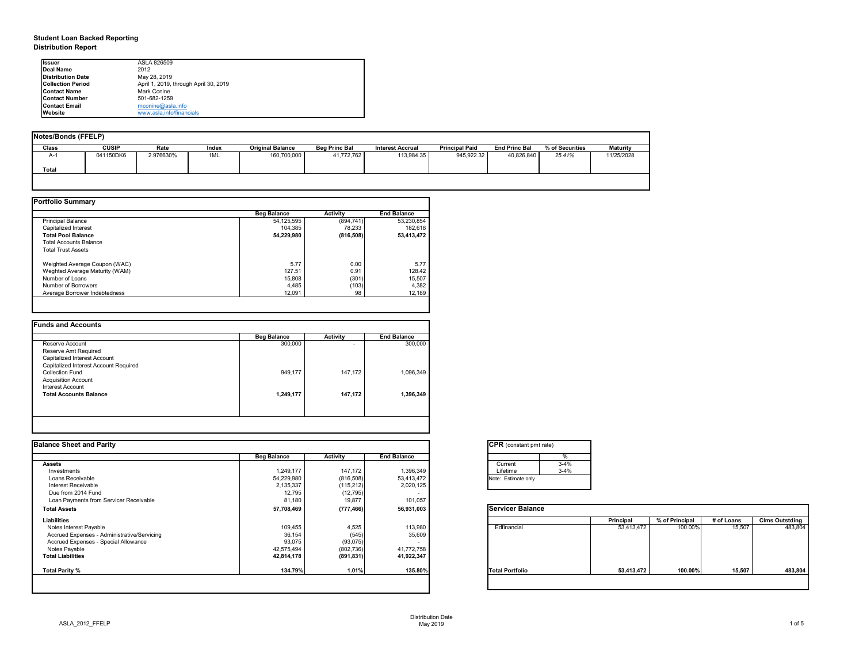# **Student Loan Backed Reporting Distribution Report**

| Notes/Bonds (FFELP) |              |           |       |                         |                      |                         |                       |                      |                 |                 |
|---------------------|--------------|-----------|-------|-------------------------|----------------------|-------------------------|-----------------------|----------------------|-----------------|-----------------|
| <b>Class</b>        | <b>CUSIP</b> | Rate      | Index | <b>Original Balance</b> | <b>Beg Princ Bal</b> | <b>Interest Accrual</b> | <b>Principal Paid</b> | <b>End Princ Bal</b> | % of Securities | <b>Maturity</b> |
| A-1                 | 041150DK6    | 2.976630% | 1ML   | 160,700,000             | 41,772,762           | 113,984.35              | 945,922.32            | 40,826,840           | 25.41%          | 11/25/2028      |
| <b>Total</b>        |              |           |       |                         |                      |                         |                       |                      |                 |                 |
|                     |              |           |       |                         |                      |                         |                       |                      |                 |                 |

|                                | <b>Beg Balance</b> | <b>Activity</b> | <b>End Balance</b> |
|--------------------------------|--------------------|-----------------|--------------------|
| <b>Principal Balance</b>       | 54,125,595         | (894, 741)      | 53,230,854         |
| Capitalized Interest           | 104,385            | 78,233          | 182,618            |
| <b>Total Pool Balance</b>      | 54,229,980         | (816, 508)      | 53,413,472         |
| <b>Total Accounts Balance</b>  |                    |                 |                    |
| <b>Total Trust Assets</b>      |                    |                 |                    |
| Weighted Average Coupon (WAC)  | 5.77               | 0.00            | 5.77               |
| Weghted Average Maturity (WAM) | 127.51             | 0.91            | 128.42             |
| Number of Loans                | 15,808             | (301)           | 15,507             |
| Number of Borrowers            | 4,485              | (103)           | 4,382              |
| Average Borrower Indebtedness  | 12,091             | 98              | 12,189             |

|                                       | <b>Beg Balance</b> | <b>Activity</b> | <b>End Balance</b> |
|---------------------------------------|--------------------|-----------------|--------------------|
| Reserve Account                       | 300,000            | ۰               | 300,000            |
| <b>Reserve Amt Required</b>           |                    |                 |                    |
| <b>Capitalized Interest Account</b>   |                    |                 |                    |
| Capitalized Interest Account Required |                    |                 |                    |
| <b>Collection Fund</b>                | 949,177            | 147,172         | 1,096,349          |
| <b>Acquisition Account</b>            |                    |                 |                    |
| <b>Interest Account</b>               |                    |                 |                    |
| <b>Total Accounts Balance</b>         | 1,249,177          | 147,172         | 1,396,349          |
|                                       |                    |                 |                    |

| Ilssuer                   | ASLA 826509                           |
|---------------------------|---------------------------------------|
| Deal Name                 | 2012                                  |
| <b>Distribution Date</b>  | May 28, 2019                          |
| <b>ICollection Period</b> | April 1, 2019, through April 30, 2019 |
| <b>IContact Name</b>      | <b>Mark Conine</b>                    |
| <b>IContact Number</b>    | 501-682-1259                          |
| <b>IContact Email</b>     | mconine@asla.info                     |
| <b>IWebsite</b>           | www.asla.info/financials              |

|                    |                 |                    | <b>CPR</b> (constant pmt rate) |                  |                |            |                       |
|--------------------|-----------------|--------------------|--------------------------------|------------------|----------------|------------|-----------------------|
| <b>Beg Balance</b> | <b>Activity</b> | <b>End Balance</b> | %                              |                  |                |            |                       |
|                    |                 |                    | $3 - 4%$<br>Current            |                  |                |            |                       |
| 1,249,177          | 147,172         | 1,396,349          | $3 - 4%$<br>Lifetime           |                  |                |            |                       |
| 54,229,980         | (816,508)       | 53,413,472         | Note: Estimate only            |                  |                |            |                       |
| 2,135,337          | (115,212)       | 2,020,125          |                                |                  |                |            |                       |
|                    |                 |                    |                                |                  |                |            |                       |
| 81,180             | 19,877          | 101,057            |                                |                  |                |            |                       |
| 57,708,469         | (777, 466)      | 56,931,003         | <b>Servicer Balance</b>        |                  |                |            |                       |
|                    |                 |                    |                                | <b>Principal</b> | % of Principal | # of Loans | <b>Clms Outstding</b> |
| 109,455            | 4,525           | 113,980            | Edfinancial                    | 53,413,472       | 100.00%        | 15,507     | 483,804               |
| 36,154             | (545)           | 35,609             |                                |                  |                |            |                       |
| 93,075             | (93,075)        |                    |                                |                  |                |            |                       |
| 42,575,494         | (802, 736)      | 41,772,758         |                                |                  |                |            |                       |
| 42,814,178         | (891, 831)      | 41,922,347         |                                |                  |                |            |                       |
| 134.79%            | 1.01%           | 135.80%            | <b>Total Portfolio</b>         | 53,413,472       | 100.00%        | 15,507     | 483,804               |
|                    | 12,795          | (12, 795)          |                                |                  |                |            |                       |

| tant pmt rate) |          |
|----------------|----------|
|                | $\%$     |
|                | $3 - 4%$ |
|                | $3 - 4%$ |
| te only        |          |
|                |          |

|      | <b>Principal</b> | % of Principal | # of Loans | <b>Clms Outstding</b> |
|------|------------------|----------------|------------|-----------------------|
| al   | 53,413,472       | 100.00%        | 15,507     | 483,804               |
| oilc | 53,413,472       | 100.00%        | 15,507     | 483,804               |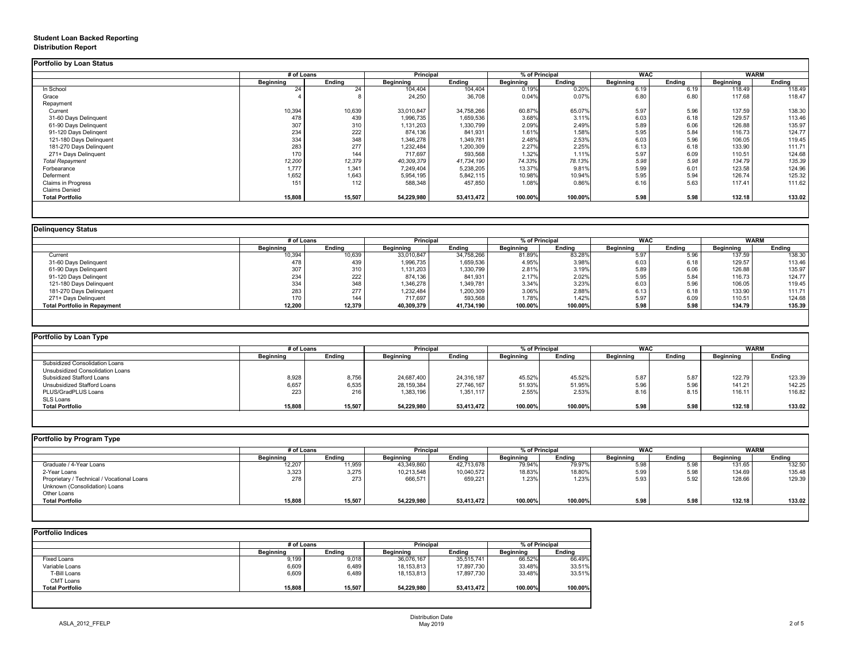## **Student Loan Backed Reporting Distribution Report**

## **Delinquency Status**

|                         | # of Loans       |               | <b>Principal</b> |               | % of Principal   |               | <b>WAC</b>       |               | <b>WARM</b>      |               |
|-------------------------|------------------|---------------|------------------|---------------|------------------|---------------|------------------|---------------|------------------|---------------|
|                         | <b>Beginning</b> | <b>Ending</b> | <b>Beginning</b> | <b>Ending</b> | <b>Beginning</b> | <b>Ending</b> | <b>Beginning</b> | <b>Ending</b> | <b>Beginning</b> | <b>Ending</b> |
| In School               | 24               | 24            | 104,404          | 104,404       | 0.19%            | 0.20%         | 6.19             | 6.19          | 118.49           | 118.49        |
| Grace                   |                  |               | 24,250           | 36,708        | 0.04%            | 0.07%         | 6.80             | 6.80          | 117.68           | 118.47        |
| Repayment               |                  |               |                  |               |                  |               |                  |               |                  |               |
| Current                 | 10,394           | 10,639        | 33,010,847       | 34,758,266    | 60.87%           | 65.07%        | 5.97             | 5.96          | 137.59           | 138.30        |
| 31-60 Days Delinquent   | 478              | 439           | 1,996,735        | 1,659,536     | 3.68%            | 3.11%         | 6.03             | 6.18          | 129.57           | 113.46        |
| 61-90 Days Delinquent   | 307              | 310           | 1,131,203        | 1,330,799     | 2.09%            | 2.49%         | 5.89             | 6.06          | 126.88           | 135.97        |
| 91-120 Days Delingent   | 234              | 222           | 874,136          | 841,931       | 1.61%            | 1.58%         | 5.95             | 5.84          | 116.73           | 124.77        |
| 121-180 Days Delinquent | 334              | 348           | 1,346,278        | 1,349,781     | 2.48%            | 2.53%         | 6.03             | 5.96          | 106.05           | 119.45        |
| 181-270 Days Delinquent | 283              | 277           | 1,232,484        | 1,200,309     | 2.27%            | 2.25%         | 6.13             | 6.18          | 133.90           | 111.71        |
| 271+ Days Delinquent    | 170              | 144           | 717,697          | 593,568       | 1.32%            | 1.11%         | 5.97             | 6.09          | 110.51           | 124.68        |
| <b>Total Repayment</b>  | 12,200           | 12,379        | 40,309,379       | 41,734,190    | 74.33%           | 78.13%        | 5.98             | 5.98          | 134.79           | 135.39        |
| Forbearance             | 1,777            | 1,341         | 7,249,404        | 5,238,205     | 13.37%           | 9.81%         | 5.99             | 6.01          | 123.58           | 124.96        |
| Deferment               | 1,652            | 1,643         | 5,954,195        | 5,842,115     | 10.98%           | 10.94%        | 5.95             | 5.94          | 126.74           | 125.32        |
| Claims in Progress      | 151              | 112           | 588,348          | 457,850       | 1.08%            | 0.86%         | 6.16             | 5.63          | 117.41           | 111.62        |
| <b>Claims Denied</b>    |                  |               |                  |               |                  |               |                  |               |                  |               |
| <b>Total Portfolio</b>  | 15,808           | 15,507        | 54,229,980       | 53,413,472    | 100.00%          | 100.00%       | 5.98             | 5.98          | 132.18           | 133.02        |

|                                     |                  | # of Loans    |                  | <b>Principal</b> | % of Principal   |               | <b>WAC</b>       |               |                  | <b>WARM</b>   |  |
|-------------------------------------|------------------|---------------|------------------|------------------|------------------|---------------|------------------|---------------|------------------|---------------|--|
|                                     | <b>Beginning</b> | <b>Ending</b> | <b>Beginning</b> | Ending           | <b>Beginning</b> | <b>Ending</b> | <b>Beginning</b> | <b>Ending</b> | <b>Beginning</b> | <b>Ending</b> |  |
| Current                             | 10,394           | 10,639        | 33,010,847       | 34,758,266       | 81.89%           | 83.28%        | 5.97             | 5.96          | 137.59           | 138.30        |  |
| 31-60 Days Delinquent               | 478              | 439           | 1,996,735        | 1,659,536        | 4.95%            | 3.98%         | 6.03             | 6.18          | 129.57           | 113.46        |  |
| 61-90 Days Delinquent               | 307              | 310           | 1,131,203        | 1,330,799        | 2.81%            | 3.19%         | 5.89             | 6.06          | 126.88           | 135.97        |  |
| 91-120 Days Delinqent               | 234              | 222           | 874,136          | 841,931          | 2.17%            | 2.02%         | 5.95             | 5.84          | 116.73           | 124.77        |  |
| 121-180 Days Delinquent             | 334              | 348           | 1,346,278        | 1,349,781        | 3.34%            | 3.23%         | 6.03             | 5.96          | 106.05           | 119.45        |  |
| 181-270 Days Delinquent             | 283              | 277           | 1,232,484        | 1,200,309        | 3.06%            | 2.88%         | 6.13             | 6.18          | 133.90           | 111.71        |  |
| 271+ Days Delinquent                | 170              | 144           | 717,697          | 593,568          | 1.78%            | 1.42%         | 5.97             | 6.09          | 110.51           | 124.68        |  |
| <b>Total Portfolio in Repayment</b> | 12,200           | 12,379        | 40,309,379       | 41,734,190       | 100.00%          | 100.00%       | 5.98             | 5.98          | 134.79           | 135.39        |  |

| # of Loans       |               |                  |               |                  |               |                  |               | <b>WARM</b>      |               |
|------------------|---------------|------------------|---------------|------------------|---------------|------------------|---------------|------------------|---------------|
| <b>Beginning</b> | <b>Ending</b> | <b>Beginning</b> | <b>Ending</b> | <b>Beginning</b> | <b>Ending</b> | <b>Beginning</b> | <b>Ending</b> | <b>Beginning</b> | <b>Ending</b> |
|                  |               |                  |               |                  |               |                  |               |                  |               |
|                  |               |                  |               |                  |               |                  |               |                  |               |
| 8,928            | 8,756         | 24,687,400       | 24,316,187    | 45.52%           | 45.52%        | 5.87             | 5.87          | 122.79           | 123.39        |
| 6,657            | 6,535         | 28,159,384       | 27,746,167    | 51.93%           | 51.95%        | 5.96             | 5.96          | 141.21           | 142.25        |
| 223              | 216           | 1,383,196        | 1,351,117     | 2.55%            | 2.53%         | 8.16             | 8.15          | 116.11           | 116.82        |
|                  |               |                  |               |                  |               |                  |               |                  |               |
| 15,808           | 15,507        | 54,229,980       | 53,413,472    | 100.00%          | 100.00%       | 5.98             | 5.98          | 132.18           | 133.02        |
|                  |               |                  |               | <b>Principal</b> |               | % of Principal   |               | <b>WAC</b>       |               |

|                                            | # of Loans       |               | <b>Principal</b> |               | % of Principal   |               | <b>WAC</b>       |               | <b>WARM</b>      |               |
|--------------------------------------------|------------------|---------------|------------------|---------------|------------------|---------------|------------------|---------------|------------------|---------------|
|                                            | <b>Beginning</b> | <b>Ending</b> | <b>Beginning</b> | <b>Ending</b> | <b>Beginning</b> | <b>Ending</b> | <b>Beginning</b> | <b>Ending</b> | <b>Beginning</b> | <b>Ending</b> |
| Graduate / 4-Year Loans                    | 12,207           | 11,959        | 43,349,860       | 42,713,678    | 79.94%           | 79.97%        | 5.98             | 5.98          | 131.65           | 132.50        |
| 2-Year Loans                               | 3,323            | 3,275         | 10,213,548       | 10,040,572    | 18.83%           | 18.80%        | 5.99             | 5.98          | 134.69           | 135.48        |
| Proprietary / Technical / Vocational Loans | 278              | 273           | 666,571          | 659,221       | 1.23%            | 1.23%         | 5.93             | 5.92          | 128.66           | 129.39        |
| Unknown (Consolidation) Loans              |                  |               |                  |               |                  |               |                  |               |                  |               |
| Other Loans                                |                  |               |                  |               |                  |               |                  |               |                  |               |
| <b>Total Portfolio</b>                     | 15,808           | 15,507        | 54,229,980       | 53,413,472    | 100.00%          | 100.00%       | 5.98             | 5.98          | 132.18           | 133.02        |

| <b>Portfolio Indices</b> |                  |               |                  |               |                  |               |
|--------------------------|------------------|---------------|------------------|---------------|------------------|---------------|
|                          | # of Loans       |               | <b>Principal</b> |               | % of Principal   |               |
|                          | <b>Beginning</b> | <b>Ending</b> | <b>Beginning</b> | <b>Ending</b> | <b>Beginning</b> | <b>Ending</b> |
| <b>Fixed Loans</b>       | 9,199            | 9,018         | 36,076,167       | 35,515,741    | 66.52%           | 66.49%        |
| Variable Loans           | 6,609            | 6,489         | 18,153,813       | 17,897,730    | 33.48%           | 33.51%        |
| T-Bill Loans             | 6,609            | 6,489         | 18,153,813       | 17,897,730    | 33.48%           | 33.51%        |
| <b>CMT Loans</b>         |                  |               |                  |               |                  |               |
| <b>Total Portfolio</b>   | 15,808           | 15,507        | 54,229,980       | 53,413,472    | 100.00%          | 100.00%       |
|                          |                  |               |                  |               |                  |               |
|                          |                  |               |                  |               |                  |               |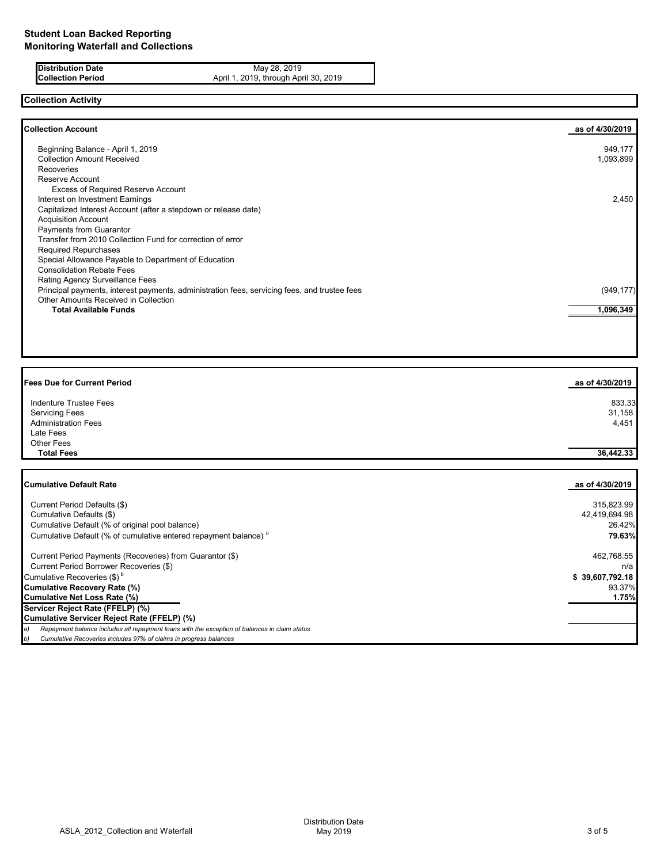**Distribution Date** May 28, 2019<br>**Collection Period** April 1, 2019, through Apr April 1, 2019, through April 30, 2019

# **Collection Activity**

| <b>Collection Account</b>                                                                    | as of 4/30/2019 |
|----------------------------------------------------------------------------------------------|-----------------|
| Beginning Balance - April 1, 2019                                                            | 949,177         |
| <b>Collection Amount Received</b>                                                            | 1,093,899       |
| Recoveries                                                                                   |                 |
| Reserve Account                                                                              |                 |
| <b>Excess of Required Reserve Account</b>                                                    |                 |
| Interest on Investment Earnings                                                              | 2,450           |
| Capitalized Interest Account (after a stepdown or release date)                              |                 |
| <b>Acquisition Account</b>                                                                   |                 |
| Payments from Guarantor                                                                      |                 |
| Transfer from 2010 Collection Fund for correction of error                                   |                 |
| <b>Required Repurchases</b>                                                                  |                 |
| Special Allowance Payable to Department of Education                                         |                 |
| <b>Consolidation Rebate Fees</b>                                                             |                 |
| Rating Agency Surveillance Fees                                                              |                 |
| Principal payments, interest payments, administration fees, servicing fees, and trustee fees | (949, 177)      |
| <b>Other Amounts Received in Collection</b>                                                  |                 |
| Total Available Funds                                                                        | 1,096,349       |
|                                                                                              |                 |

| <b>Fees Due for Current Period</b> | as of 4/30/2019 |
|------------------------------------|-----------------|
| <b>Indenture Trustee Fees</b>      | 833.33          |
| <b>Servicing Fees</b>              | 31,158          |
| <b>Administration Fees</b>         | 4,451           |
| Late Fees                          |                 |
| Other Fees                         |                 |
| <b>Total Fees</b>                  | 36,442.33       |

| <b>Cumulative Default Rate</b>                                                                      | as of 4/30/2019 |
|-----------------------------------------------------------------------------------------------------|-----------------|
|                                                                                                     |                 |
| Current Period Defaults (\$)                                                                        | 315,823.99      |
| Cumulative Defaults (\$)                                                                            | 42,419,694.98   |
| Cumulative Default (% of original pool balance)                                                     | 26.42%          |
| Cumulative Default (% of cumulative entered repayment balance) <sup>a</sup>                         | 79.63%          |
| Current Period Payments (Recoveries) from Guarantor (\$)                                            | 462,768.55      |
| Current Period Borrower Recoveries (\$)                                                             | n/a             |
| Cumulative Recoveries (\$) <sup>b</sup>                                                             | \$39,607,792.18 |
| <b>Cumulative Recovery Rate (%)</b>                                                                 | 93.37%          |
| Cumulative Net Loss Rate (%)                                                                        | 1.75%           |
| Servicer Reject Rate (FFELP) (%)                                                                    |                 |
| Cumulative Servicer Reject Rate (FFELP) (%)                                                         |                 |
| Repayment balance includes all repayment loans with the exception of balances in claim status<br>a) |                 |
| Cumulative Recoveries includes 97% of claims in progress balances<br>b)                             |                 |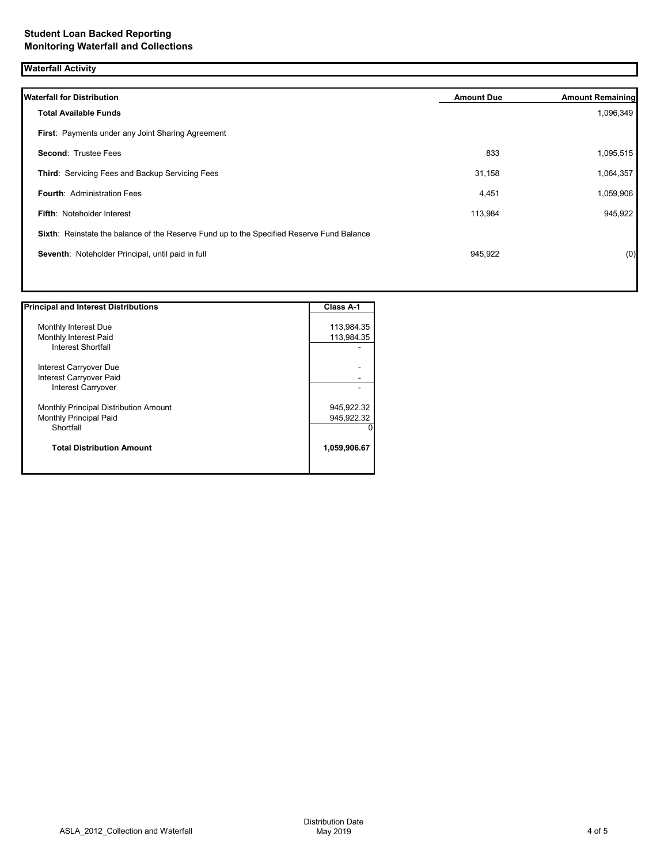| <b>Waterfall Activity</b>                                                                 |                   |                         |
|-------------------------------------------------------------------------------------------|-------------------|-------------------------|
| <b>Waterfall for Distribution</b>                                                         | <b>Amount Due</b> | <b>Amount Remaining</b> |
| <b>Total Available Funds</b>                                                              |                   | 1,096,349               |
| First: Payments under any Joint Sharing Agreement                                         |                   |                         |
| Second: Trustee Fees                                                                      | 833               | 1,095,515               |
| Third: Servicing Fees and Backup Servicing Fees                                           | 31,158            | 1,064,357               |
| <b>Fourth: Administration Fees</b>                                                        | 4,451             | 1,059,906               |
| Fifth: Noteholder Interest                                                                | 113,984           | 945,922                 |
| Sixth: Reinstate the balance of the Reserve Fund up to the Specified Reserve Fund Balance |                   |                         |
| Seventh: Noteholder Principal, until paid in full                                         | 945,922           | (0)                     |
|                                                                                           |                   |                         |

| <b>Principal and Interest Distributions</b> | <b>Class A-1</b> |
|---------------------------------------------|------------------|
|                                             |                  |
| Monthly Interest Due                        | 113,984.35       |
| Monthly Interest Paid                       | 113,984.35       |
| <b>Interest Shortfall</b>                   |                  |
| Interest Carryover Due                      |                  |
| Interest Carryover Paid                     |                  |
| Interest Carryover                          |                  |
| Monthly Principal Distribution Amount       | 945,922.32       |
| <b>Monthly Principal Paid</b>               | 945,922.32       |
| Shortfall                                   |                  |
| <b>Total Distribution Amount</b>            | 1,059,906.67     |
|                                             |                  |